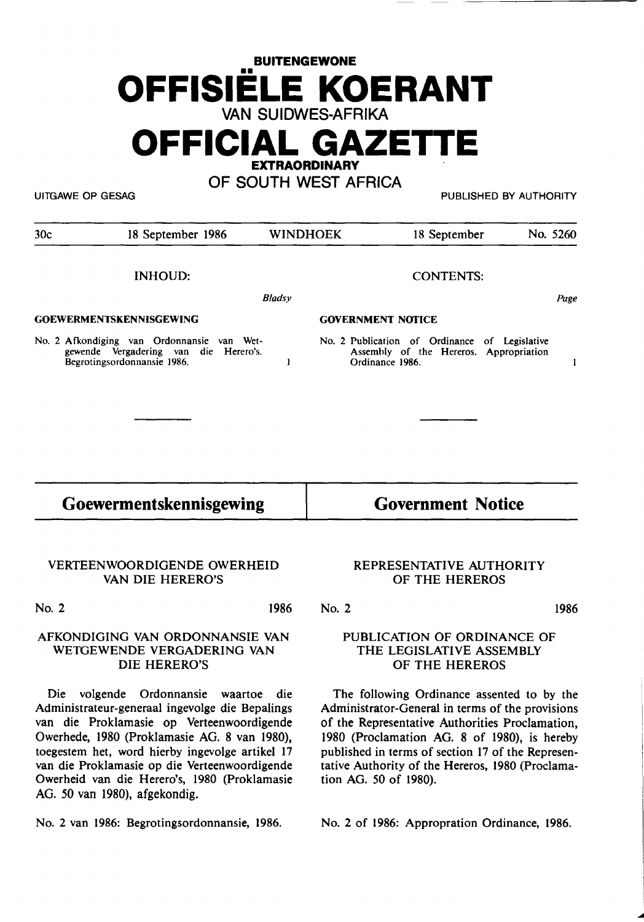# **BUITENGEWONE**  •• **OFFISIELE KOERANT VAN SUIDWES-AFRIKA**

**OFFICIAL GAZETTE** 

**EXTRAORDINARY** 

**OF SOUTH WEST AFRICA** 

UITGAWE OP GESAG PUBLISHED BY AUTHORITY

| 30c                                                                                                                | 18 September 1986 |                          | <b>WINDHOEK</b> | 18 September                                                                                               |  | No. 5260 |
|--------------------------------------------------------------------------------------------------------------------|-------------------|--------------------------|-----------------|------------------------------------------------------------------------------------------------------------|--|----------|
|                                                                                                                    | <b>INHOUD:</b>    |                          |                 | <b>CONTENTS:</b>                                                                                           |  |          |
|                                                                                                                    |                   | <b>Bladsy</b>            |                 |                                                                                                            |  | Page     |
| <b>GOEWERMENTSKENNISGEWING</b>                                                                                     |                   | <b>GOVERNMENT NOTICE</b> |                 |                                                                                                            |  |          |
| No. 2 Afkondiging van Ordonnansie van Wet-<br>gewende Vergadering van die Herero's.<br>Begrotingsordonnansie 1986. |                   | Þ                        |                 | No. 2 Publication of Ordinance of Legislative<br>Assembly of the Hereros. Appropriation<br>Ordinance 1986. |  | ł        |
|                                                                                                                    |                   |                          |                 |                                                                                                            |  |          |
| Goewermentskennisgewing                                                                                            |                   | <b>Government Notice</b> |                 |                                                                                                            |  |          |

#### VERTEENWOORDIGENDE OWERHEID VAN DIE HERERO'S

No. 2 1986

No. 2

#### **AFKONDIGING VAN ORDONNANSIE VAN**  WETGEWENDE **VERGADERING VAN**  DIE HERERO'S

Die volgende Ordonnansie waartoe die Administrateur-generaal ingevolge die Bepalings van die Proklamasie op Verteenwoordigende Owerhede, 1980 (Proklamasie AG. 8 van 1980), toegestem bet, word hierby ingevolge artikel 17 van die Proklamasie op die Verteenwoordigende Owerheid van die Herero's, 1980 (Proklamasie AG. 50 van 1980), afgekondig.

No. 2 van 1986: Begrotingsordonnansie, 1986.

#### REPRESENTATIVE AUTHORITY OF THE HEREROS

1986

#### PUBLICATION OF ORDINANCE OF THE LEGISLATIVE ASSEMBLY OF THE HEREROS

The following Ordinance assented to by the Administrator-General in terms of the provisions of the Representative Authorities Proclamation, 1980 (Proclamation AG. 8 of 1980), is hereby published in terms of section 17 of the Representative Authority of the Hereros, 1980 (Proclamation AG. 50 of 1980).

No. 2 of 1986: Appropration Ordinance, 1986.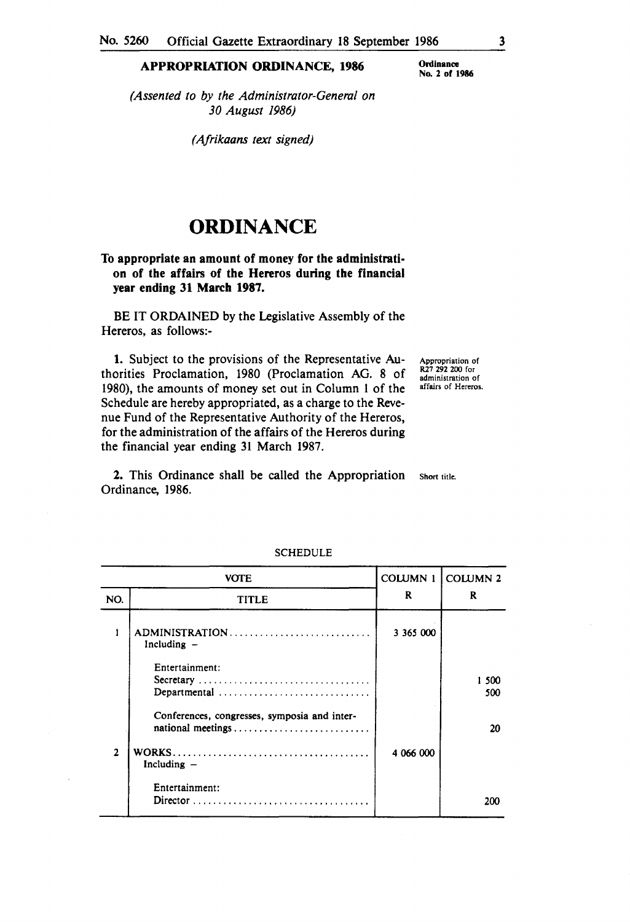#### **APPROPRIATION ORDINANCE, 1986**

**Ordinance No. 2 of 1986** 

*(Assented to by the Administrator-General on 30 August 1986)* 

*(Afrikaans text signed)* 

## **ORDINANCE**

#### **To appropriate an amount of money for the administration of the affairs of the Hereros during the financial year ending 31 March 198'7.**

BE IT ORDAINED by the Legislative Assembly of the Hereros, as follows:-

**1.** Subject to the provisions of the Representative Authorities Proclamation, 1980 (Proclamation AG. 8 of 1980), the amounts of money set out in Column 1 of the Schedule are hereby appropriated, as a charge to the Revenue Fund of the Representative Authority of the Hereros, for the administration of the affairs of the Hereros during the financial year ending 31 March 1987.

Appropriation of R27 292 200 for administration of affairs of Hereros.

**2.** This Ordinance shall be called the Appropriation Ordinance, **1986.**  Short title.

| VOTE         |                                                                   | <b>COLUMN 1</b> | <b>COLUMN 2</b> |
|--------------|-------------------------------------------------------------------|-----------------|-----------------|
| NO.          | <b>TITLE</b>                                                      | R               | R               |
|              | ADMINISTRATION<br>Including $-$                                   | 3 365 000       |                 |
|              | Entertainment:<br>Secretary<br>Departmental                       |                 | 1 500<br>500    |
|              | Conferences, congresses, symposia and inter-<br>national meetings |                 | 20              |
| $\mathbf{2}$ | Including $-$                                                     | 4 066 000       |                 |
|              | Entertainment:                                                    |                 | 200             |

#### **SCHEDULE**